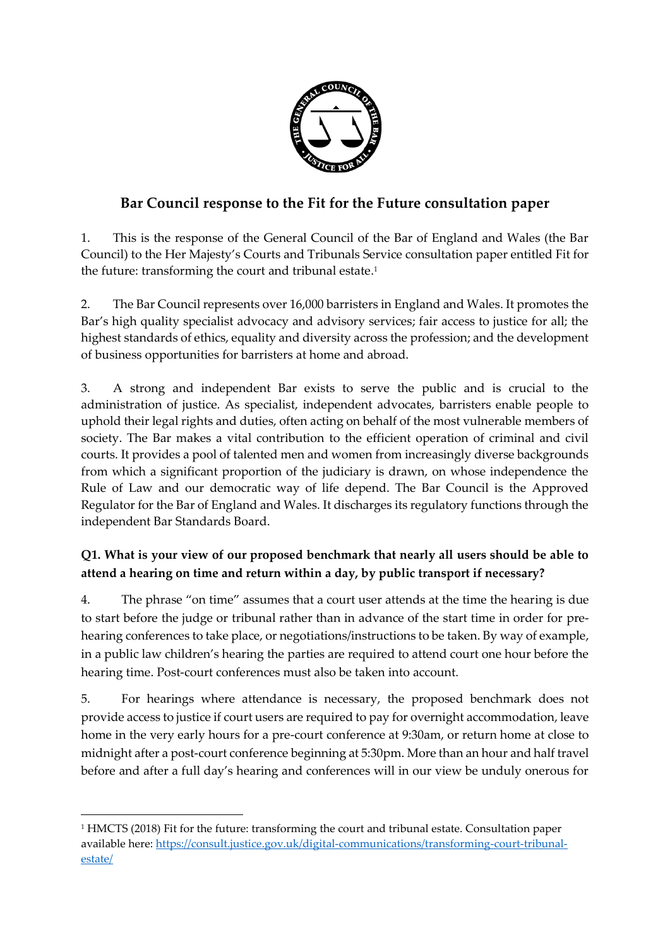

# **Bar Council response to the Fit for the Future consultation paper**

1. This is the response of the General Council of the Bar of England and Wales (the Bar Council) to the Her Majesty's Courts and Tribunals Service consultation paper entitled Fit for the future: transforming the court and tribunal estate. 1

2. The Bar Council represents over 16,000 barristers in England and Wales. It promotes the Bar's high quality specialist advocacy and advisory services; fair access to justice for all; the highest standards of ethics, equality and diversity across the profession; and the development of business opportunities for barristers at home and abroad.

3. A strong and independent Bar exists to serve the public and is crucial to the administration of justice. As specialist, independent advocates, barristers enable people to uphold their legal rights and duties, often acting on behalf of the most vulnerable members of society. The Bar makes a vital contribution to the efficient operation of criminal and civil courts. It provides a pool of talented men and women from increasingly diverse backgrounds from which a significant proportion of the judiciary is drawn, on whose independence the Rule of Law and our democratic way of life depend. The Bar Council is the Approved Regulator for the Bar of England and Wales. It discharges its regulatory functions through the independent Bar Standards Board.

## **Q1. What is your view of our proposed benchmark that nearly all users should be able to attend a hearing on time and return within a day, by public transport if necessary?**

4. The phrase "on time" assumes that a court user attends at the time the hearing is due to start before the judge or tribunal rather than in advance of the start time in order for prehearing conferences to take place, or negotiations/instructions to be taken. By way of example, in a public law children's hearing the parties are required to attend court one hour before the hearing time. Post-court conferences must also be taken into account.

5. For hearings where attendance is necessary, the proposed benchmark does not provide access to justice if court users are required to pay for overnight accommodation, leave home in the very early hours for a pre-court conference at 9:30am, or return home at close to midnight after a post-court conference beginning at 5:30pm. More than an hour and half travel before and after a full day's hearing and conferences will in our view be unduly onerous for

**.** 

<sup>1</sup> HMCTS (2018) Fit for the future: transforming the court and tribunal estate. Consultation paper available here: [https://consult.justice.gov.uk/digital-communications/transforming-court-tribunal](https://consult.justice.gov.uk/digital-communications/transforming-court-tribunal-estate/)[estate/](https://consult.justice.gov.uk/digital-communications/transforming-court-tribunal-estate/)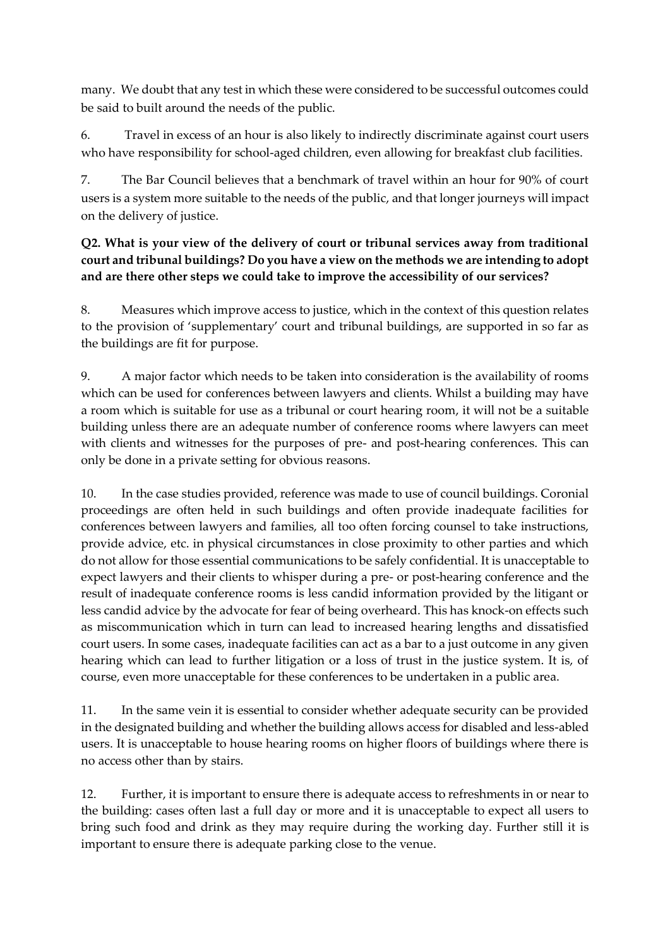many. We doubt that any test in which these were considered to be successful outcomes could be said to built around the needs of the public.

6. Travel in excess of an hour is also likely to indirectly discriminate against court users who have responsibility for school-aged children, even allowing for breakfast club facilities.

7. The Bar Council believes that a benchmark of travel within an hour for 90% of court users is a system more suitable to the needs of the public, and that longer journeys will impact on the delivery of justice.

### **Q2. What is your view of the delivery of court or tribunal services away from traditional court and tribunal buildings? Do you have a view on the methods we are intending to adopt and are there other steps we could take to improve the accessibility of our services?**

8. Measures which improve access to justice, which in the context of this question relates to the provision of 'supplementary' court and tribunal buildings, are supported in so far as the buildings are fit for purpose.

9. A major factor which needs to be taken into consideration is the availability of rooms which can be used for conferences between lawyers and clients. Whilst a building may have a room which is suitable for use as a tribunal or court hearing room, it will not be a suitable building unless there are an adequate number of conference rooms where lawyers can meet with clients and witnesses for the purposes of pre- and post-hearing conferences. This can only be done in a private setting for obvious reasons.

10. In the case studies provided, reference was made to use of council buildings. Coronial proceedings are often held in such buildings and often provide inadequate facilities for conferences between lawyers and families, all too often forcing counsel to take instructions, provide advice, etc. in physical circumstances in close proximity to other parties and which do not allow for those essential communications to be safely confidential. It is unacceptable to expect lawyers and their clients to whisper during a pre- or post-hearing conference and the result of inadequate conference rooms is less candid information provided by the litigant or less candid advice by the advocate for fear of being overheard. This has knock-on effects such as miscommunication which in turn can lead to increased hearing lengths and dissatisfied court users. In some cases, inadequate facilities can act as a bar to a just outcome in any given hearing which can lead to further litigation or a loss of trust in the justice system. It is, of course, even more unacceptable for these conferences to be undertaken in a public area.

11. In the same vein it is essential to consider whether adequate security can be provided in the designated building and whether the building allows access for disabled and less-abled users. It is unacceptable to house hearing rooms on higher floors of buildings where there is no access other than by stairs.

12. Further, it is important to ensure there is adequate access to refreshments in or near to the building: cases often last a full day or more and it is unacceptable to expect all users to bring such food and drink as they may require during the working day. Further still it is important to ensure there is adequate parking close to the venue.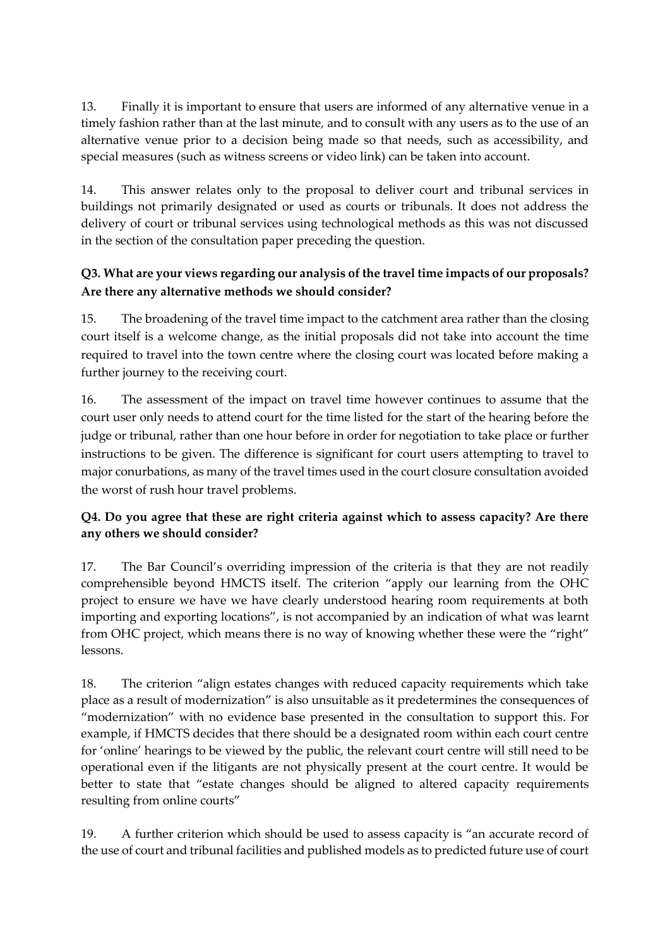13. Finally it is important to ensure that users are informed of any alternative venue in a timely fashion rather than at the last minute, and to consult with any users as to the use of an alternative venue prior to a decision being made so that needs, such as accessibility, and special measures (such as witness screens or video link) can be taken into account.

14. This answer relates only to the proposal to deliver court and tribunal services in buildings not primarily designated or used as courts or tribunals. It does not address the delivery of court or tribunal services using technological methods as this was not discussed in the section of the consultation paper preceding the question.

## **Q3. What are your views regarding our analysis of the travel time impacts of our proposals? Are there any alternative methods we should consider?**

15. The broadening of the travel time impact to the catchment area rather than the closing court itself is a welcome change, as the initial proposals did not take into account the time required to travel into the town centre where the closing court was located before making a further journey to the receiving court.

16. The assessment of the impact on travel time however continues to assume that the court user only needs to attend court for the time listed for the start of the hearing before the judge or tribunal, rather than one hour before in order for negotiation to take place or further instructions to be given. The difference is significant for court users attempting to travel to major conurbations, as many of the travel times used in the court closure consultation avoided the worst of rush hour travel problems.

### **Q4. Do you agree that these are right criteria against which to assess capacity? Are there any others we should consider?**

17. The Bar Council's overriding impression of the criteria is that they are not readily comprehensible beyond HMCTS itself. The criterion "apply our learning from the OHC project to ensure we have we have clearly understood hearing room requirements at both importing and exporting locations", is not accompanied by an indication of what was learnt from OHC project, which means there is no way of knowing whether these were the "right" lessons.

18. The criterion "align estates changes with reduced capacity requirements which take place as a result of modernization" is also unsuitable as it predetermines the consequences of "modernization" with no evidence base presented in the consultation to support this. For example, if HMCTS decides that there should be a designated room within each court centre for 'online' hearings to be viewed by the public, the relevant court centre will still need to be operational even if the litigants are not physically present at the court centre. It would be better to state that "estate changes should be aligned to altered capacity requirements resulting from online courts"

19. A further criterion which should be used to assess capacity is "an accurate record of the use of court and tribunal facilities and published models as to predicted future use of court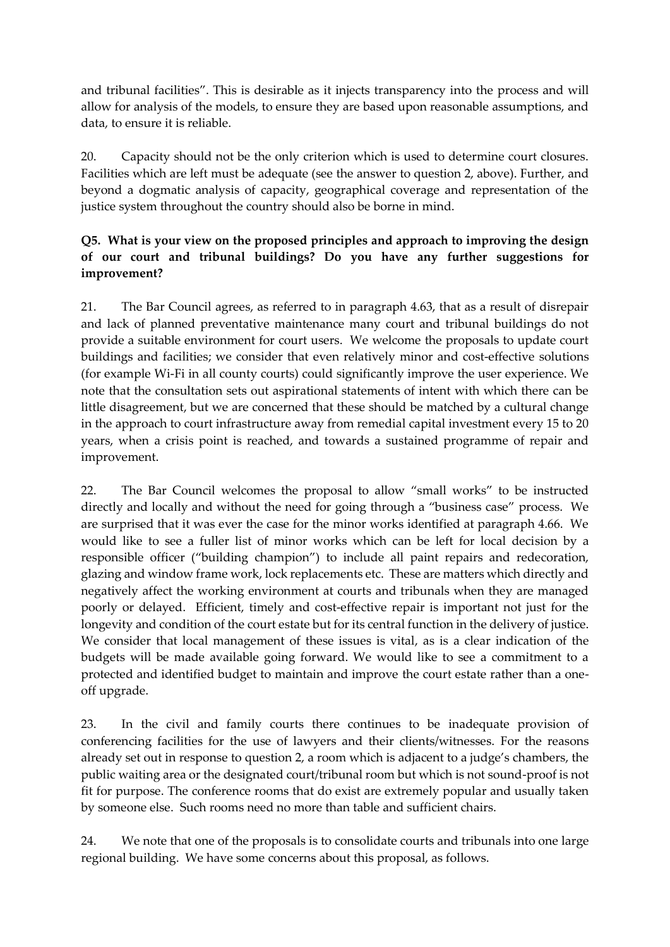and tribunal facilities". This is desirable as it injects transparency into the process and will allow for analysis of the models, to ensure they are based upon reasonable assumptions, and data, to ensure it is reliable.

20. Capacity should not be the only criterion which is used to determine court closures. Facilities which are left must be adequate (see the answer to question 2, above). Further, and beyond a dogmatic analysis of capacity, geographical coverage and representation of the justice system throughout the country should also be borne in mind.

#### **Q5. What is your view on the proposed principles and approach to improving the design of our court and tribunal buildings? Do you have any further suggestions for improvement?**

21. The Bar Council agrees, as referred to in paragraph 4.63, that as a result of disrepair and lack of planned preventative maintenance many court and tribunal buildings do not provide a suitable environment for court users. We welcome the proposals to update court buildings and facilities; we consider that even relatively minor and cost-effective solutions (for example Wi-Fi in all county courts) could significantly improve the user experience. We note that the consultation sets out aspirational statements of intent with which there can be little disagreement, but we are concerned that these should be matched by a cultural change in the approach to court infrastructure away from remedial capital investment every 15 to 20 years, when a crisis point is reached, and towards a sustained programme of repair and improvement.

22. The Bar Council welcomes the proposal to allow "small works" to be instructed directly and locally and without the need for going through a "business case" process. We are surprised that it was ever the case for the minor works identified at paragraph 4.66. We would like to see a fuller list of minor works which can be left for local decision by a responsible officer ("building champion") to include all paint repairs and redecoration, glazing and window frame work, lock replacements etc. These are matters which directly and negatively affect the working environment at courts and tribunals when they are managed poorly or delayed. Efficient, timely and cost-effective repair is important not just for the longevity and condition of the court estate but for its central function in the delivery of justice. We consider that local management of these issues is vital, as is a clear indication of the budgets will be made available going forward. We would like to see a commitment to a protected and identified budget to maintain and improve the court estate rather than a oneoff upgrade.

23. In the civil and family courts there continues to be inadequate provision of conferencing facilities for the use of lawyers and their clients/witnesses. For the reasons already set out in response to question 2, a room which is adjacent to a judge's chambers, the public waiting area or the designated court/tribunal room but which is not sound-proof is not fit for purpose. The conference rooms that do exist are extremely popular and usually taken by someone else. Such rooms need no more than table and sufficient chairs.

24. We note that one of the proposals is to consolidate courts and tribunals into one large regional building. We have some concerns about this proposal, as follows.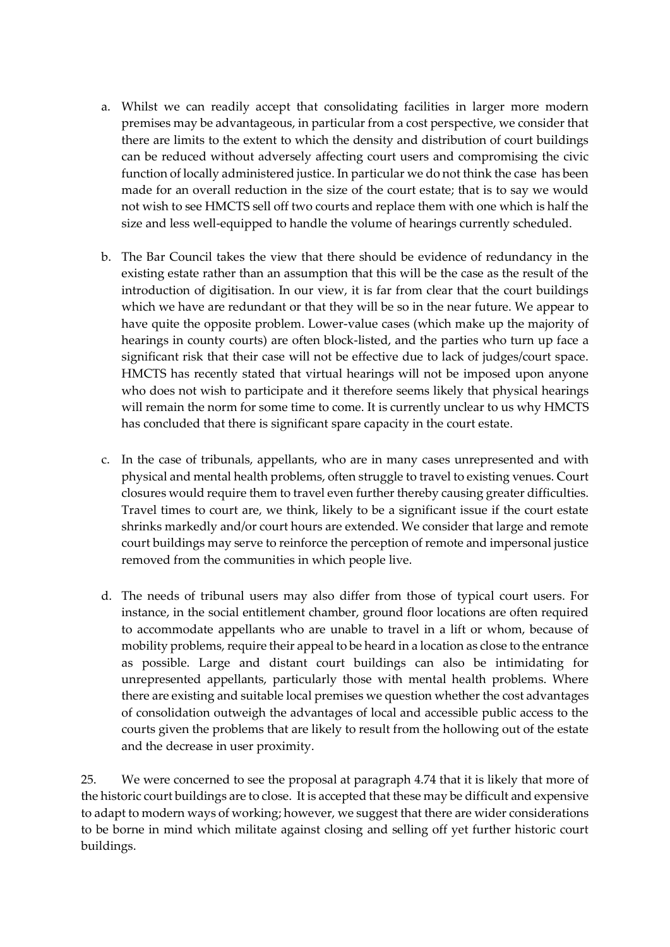- a. Whilst we can readily accept that consolidating facilities in larger more modern premises may be advantageous, in particular from a cost perspective, we consider that there are limits to the extent to which the density and distribution of court buildings can be reduced without adversely affecting court users and compromising the civic function of locally administered justice. In particular we do not think the case has been made for an overall reduction in the size of the court estate; that is to say we would not wish to see HMCTS sell off two courts and replace them with one which is half the size and less well-equipped to handle the volume of hearings currently scheduled.
- b. The Bar Council takes the view that there should be evidence of redundancy in the existing estate rather than an assumption that this will be the case as the result of the introduction of digitisation. In our view, it is far from clear that the court buildings which we have are redundant or that they will be so in the near future. We appear to have quite the opposite problem. Lower-value cases (which make up the majority of hearings in county courts) are often block-listed, and the parties who turn up face a significant risk that their case will not be effective due to lack of judges/court space. HMCTS has recently stated that virtual hearings will not be imposed upon anyone who does not wish to participate and it therefore seems likely that physical hearings will remain the norm for some time to come. It is currently unclear to us why HMCTS has concluded that there is significant spare capacity in the court estate.
- c. In the case of tribunals, appellants, who are in many cases unrepresented and with physical and mental health problems, often struggle to travel to existing venues. Court closures would require them to travel even further thereby causing greater difficulties. Travel times to court are, we think, likely to be a significant issue if the court estate shrinks markedly and/or court hours are extended. We consider that large and remote court buildings may serve to reinforce the perception of remote and impersonal justice removed from the communities in which people live.
- d. The needs of tribunal users may also differ from those of typical court users. For instance, in the social entitlement chamber, ground floor locations are often required to accommodate appellants who are unable to travel in a lift or whom, because of mobility problems, require their appeal to be heard in a location as close to the entrance as possible. Large and distant court buildings can also be intimidating for unrepresented appellants, particularly those with mental health problems. Where there are existing and suitable local premises we question whether the cost advantages of consolidation outweigh the advantages of local and accessible public access to the courts given the problems that are likely to result from the hollowing out of the estate and the decrease in user proximity.

25. We were concerned to see the proposal at paragraph 4.74 that it is likely that more of the historic court buildings are to close. It is accepted that these may be difficult and expensive to adapt to modern ways of working; however, we suggest that there are wider considerations to be borne in mind which militate against closing and selling off yet further historic court buildings.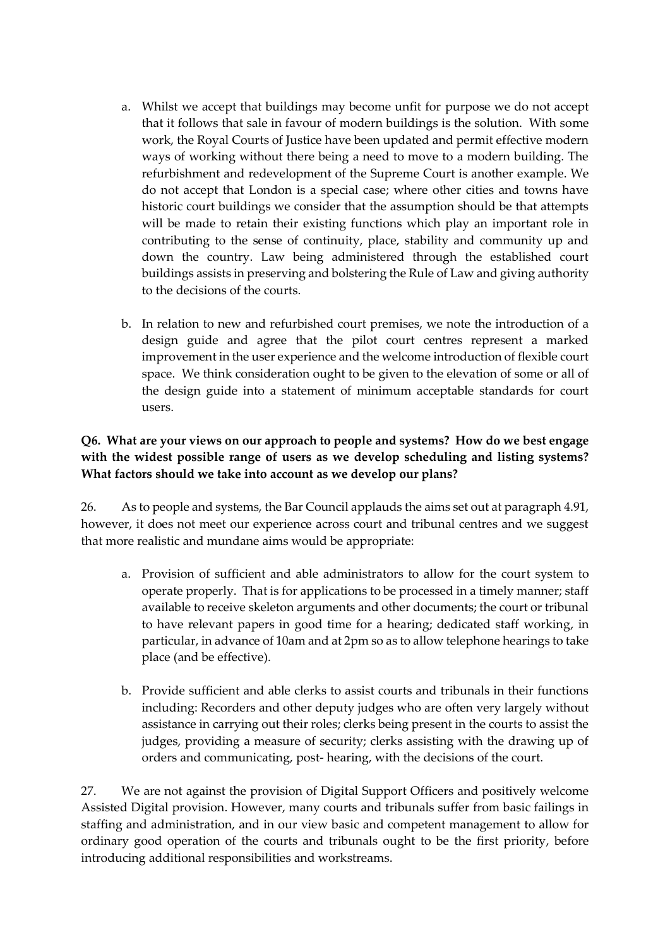- a. Whilst we accept that buildings may become unfit for purpose we do not accept that it follows that sale in favour of modern buildings is the solution. With some work, the Royal Courts of Justice have been updated and permit effective modern ways of working without there being a need to move to a modern building. The refurbishment and redevelopment of the Supreme Court is another example. We do not accept that London is a special case; where other cities and towns have historic court buildings we consider that the assumption should be that attempts will be made to retain their existing functions which play an important role in contributing to the sense of continuity, place, stability and community up and down the country. Law being administered through the established court buildings assists in preserving and bolstering the Rule of Law and giving authority to the decisions of the courts.
- b. In relation to new and refurbished court premises, we note the introduction of a design guide and agree that the pilot court centres represent a marked improvement in the user experience and the welcome introduction of flexible court space. We think consideration ought to be given to the elevation of some or all of the design guide into a statement of minimum acceptable standards for court users.

#### **Q6. What are your views on our approach to people and systems? How do we best engage with the widest possible range of users as we develop scheduling and listing systems? What factors should we take into account as we develop our plans?**

26. As to people and systems, the Bar Council applauds the aims set out at paragraph 4.91, however, it does not meet our experience across court and tribunal centres and we suggest that more realistic and mundane aims would be appropriate:

- a. Provision of sufficient and able administrators to allow for the court system to operate properly. That is for applications to be processed in a timely manner; staff available to receive skeleton arguments and other documents; the court or tribunal to have relevant papers in good time for a hearing; dedicated staff working, in particular, in advance of 10am and at 2pm so as to allow telephone hearings to take place (and be effective).
- b. Provide sufficient and able clerks to assist courts and tribunals in their functions including: Recorders and other deputy judges who are often very largely without assistance in carrying out their roles; clerks being present in the courts to assist the judges, providing a measure of security; clerks assisting with the drawing up of orders and communicating, post- hearing, with the decisions of the court.

27. We are not against the provision of Digital Support Officers and positively welcome Assisted Digital provision. However, many courts and tribunals suffer from basic failings in staffing and administration, and in our view basic and competent management to allow for ordinary good operation of the courts and tribunals ought to be the first priority, before introducing additional responsibilities and workstreams.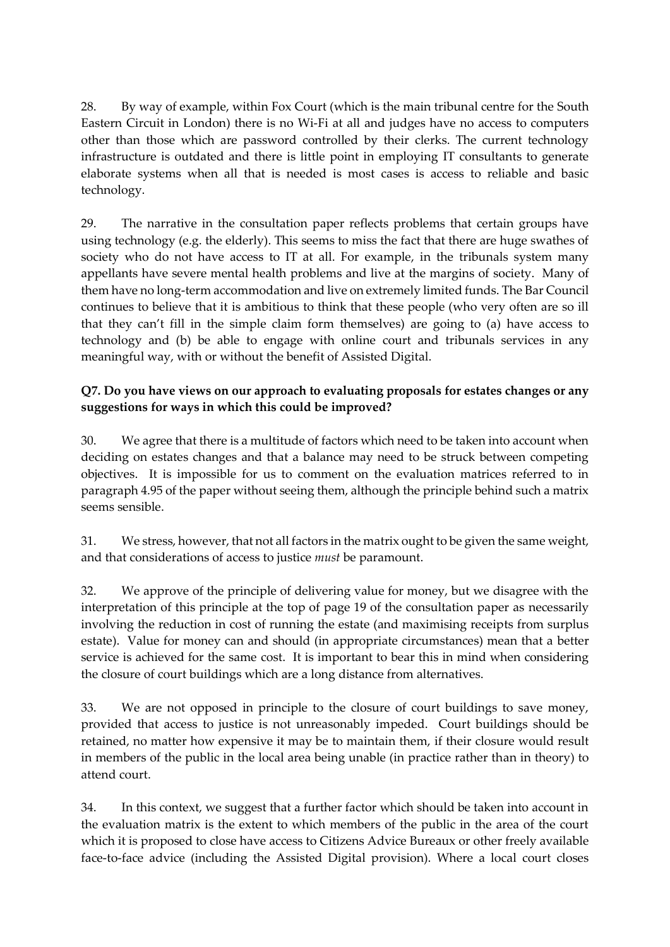28. By way of example, within Fox Court (which is the main tribunal centre for the South Eastern Circuit in London) there is no Wi-Fi at all and judges have no access to computers other than those which are password controlled by their clerks. The current technology infrastructure is outdated and there is little point in employing IT consultants to generate elaborate systems when all that is needed is most cases is access to reliable and basic technology.

29. The narrative in the consultation paper reflects problems that certain groups have using technology (e.g. the elderly). This seems to miss the fact that there are huge swathes of society who do not have access to IT at all. For example, in the tribunals system many appellants have severe mental health problems and live at the margins of society. Many of them have no long-term accommodation and live on extremely limited funds. The Bar Council continues to believe that it is ambitious to think that these people (who very often are so ill that they can't fill in the simple claim form themselves) are going to (a) have access to technology and (b) be able to engage with online court and tribunals services in any meaningful way, with or without the benefit of Assisted Digital.

### **Q7. Do you have views on our approach to evaluating proposals for estates changes or any suggestions for ways in which this could be improved?**

30. We agree that there is a multitude of factors which need to be taken into account when deciding on estates changes and that a balance may need to be struck between competing objectives. It is impossible for us to comment on the evaluation matrices referred to in paragraph 4.95 of the paper without seeing them, although the principle behind such a matrix seems sensible.

31. We stress, however, that not all factors in the matrix ought to be given the same weight, and that considerations of access to justice *must* be paramount.

32. We approve of the principle of delivering value for money, but we disagree with the interpretation of this principle at the top of page 19 of the consultation paper as necessarily involving the reduction in cost of running the estate (and maximising receipts from surplus estate). Value for money can and should (in appropriate circumstances) mean that a better service is achieved for the same cost. It is important to bear this in mind when considering the closure of court buildings which are a long distance from alternatives.

33. We are not opposed in principle to the closure of court buildings to save money, provided that access to justice is not unreasonably impeded. Court buildings should be retained, no matter how expensive it may be to maintain them, if their closure would result in members of the public in the local area being unable (in practice rather than in theory) to attend court.

34. In this context, we suggest that a further factor which should be taken into account in the evaluation matrix is the extent to which members of the public in the area of the court which it is proposed to close have access to Citizens Advice Bureaux or other freely available face-to-face advice (including the Assisted Digital provision). Where a local court closes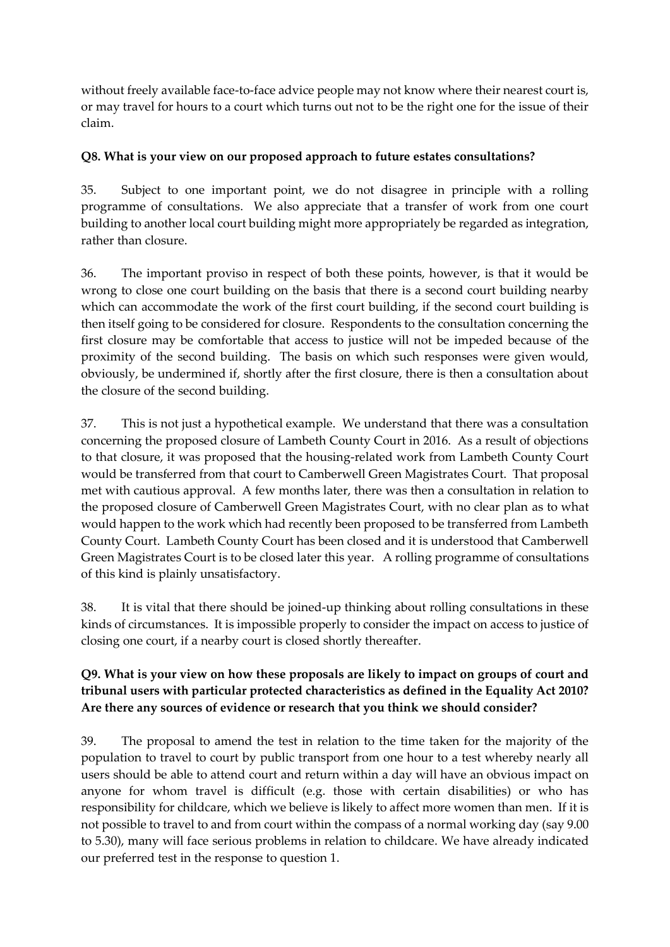without freely available face-to-face advice people may not know where their nearest court is, or may travel for hours to a court which turns out not to be the right one for the issue of their claim.

#### **Q8. What is your view on our proposed approach to future estates consultations?**

35. Subject to one important point, we do not disagree in principle with a rolling programme of consultations. We also appreciate that a transfer of work from one court building to another local court building might more appropriately be regarded as integration, rather than closure.

36. The important proviso in respect of both these points, however, is that it would be wrong to close one court building on the basis that there is a second court building nearby which can accommodate the work of the first court building, if the second court building is then itself going to be considered for closure. Respondents to the consultation concerning the first closure may be comfortable that access to justice will not be impeded because of the proximity of the second building. The basis on which such responses were given would, obviously, be undermined if, shortly after the first closure, there is then a consultation about the closure of the second building.

37. This is not just a hypothetical example. We understand that there was a consultation concerning the proposed closure of Lambeth County Court in 2016. As a result of objections to that closure, it was proposed that the housing-related work from Lambeth County Court would be transferred from that court to Camberwell Green Magistrates Court. That proposal met with cautious approval. A few months later, there was then a consultation in relation to the proposed closure of Camberwell Green Magistrates Court, with no clear plan as to what would happen to the work which had recently been proposed to be transferred from Lambeth County Court. Lambeth County Court has been closed and it is understood that Camberwell Green Magistrates Court is to be closed later this year. A rolling programme of consultations of this kind is plainly unsatisfactory.

38. It is vital that there should be joined-up thinking about rolling consultations in these kinds of circumstances. It is impossible properly to consider the impact on access to justice of closing one court, if a nearby court is closed shortly thereafter.

#### **Q9. What is your view on how these proposals are likely to impact on groups of court and tribunal users with particular protected characteristics as defined in the Equality Act 2010? Are there any sources of evidence or research that you think we should consider?**

39. The proposal to amend the test in relation to the time taken for the majority of the population to travel to court by public transport from one hour to a test whereby nearly all users should be able to attend court and return within a day will have an obvious impact on anyone for whom travel is difficult (e.g. those with certain disabilities) or who has responsibility for childcare, which we believe is likely to affect more women than men. If it is not possible to travel to and from court within the compass of a normal working day (say 9.00 to 5.30), many will face serious problems in relation to childcare. We have already indicated our preferred test in the response to question 1.